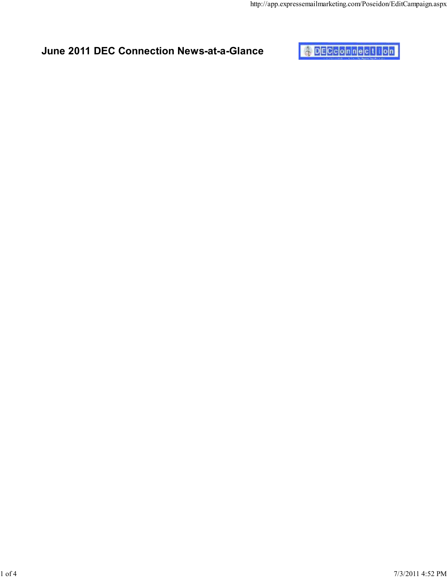## June 2011 DEC Connection News-at-a-Glance

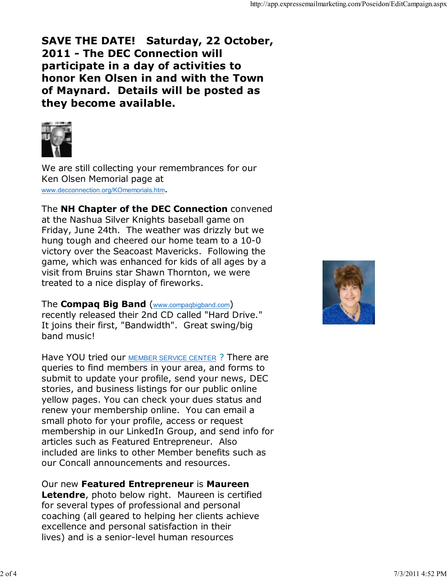## SAVE THE DATE! Saturday, 22 October, 2011 - The DEC Connection will participate in a day of activities to honor Ken Olsen in and with the Town of Maynard. Details will be posted as they become available.



We are still collecting your remembrances for our Ken Olsen Memorial page at www.decconnection.org/KOmemorials.htm.

The **NH Chapter of the DEC Connection** convened at the Nashua Silver Knights baseball game on Friday, June 24th. The weather was drizzly but we hung tough and cheered our home team to a 10-0 victory over the Seacoast Mavericks. Following the game, which was enhanced for kids of all ages by a visit from Bruins star Shawn Thornton, we were treated to a nice display of fireworks.

The **Compaq Big Band** (www.compaqbigband.com)

recently released their 2nd CD called "Hard Drive." It joins their first, "Bandwidth". Great swing/big band music!

Have YOU tried our MEMBER SERVICE CENTER ? There are queries to find members in your area, and forms to submit to update your profile, send your news, DEC stories, and business listings for our public online yellow pages. You can check your dues status and renew your membership online. You can email a small photo for your profile, access or request membership in our LinkedIn Group, and send info for articles such as Featured Entrepreneur. Also included are links to other Member benefits such as our Concall announcements and resources.

Our new Featured Entrepreneur is Maureen

Letendre, photo below right. Maureen is certified for several types of professional and personal coaching (all geared to helping her clients achieve excellence and personal satisfaction in their lives) and is a senior-level human resources

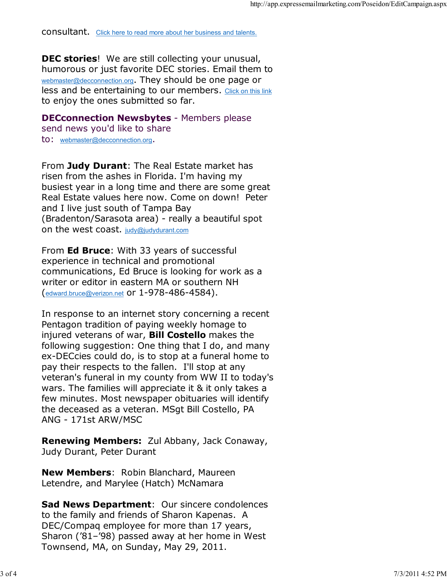consultant. Click here to read more about her business and talents.

**DEC stories!** We are still collecting your unusual, humorous or just favorite DEC stories. Email them to webmaster@decconnection.org. They should be one page or less and be entertaining to our members. Click on this link to enjoy the ones submitted so far.

**DECconnection Newsbytes - Members please** 

send news you'd like to share to: webmaster@decconnection.org.

From Judy Durant: The Real Estate market has risen from the ashes in Florida. I'm having my busiest year in a long time and there are some great Real Estate values here now. Come on down! Peter and I live just south of Tampa Bay (Bradenton/Sarasota area) - really a beautiful spot on the west coast. judy@judydurant.com

From Ed Bruce: With 33 years of successful experience in technical and promotional communications, Ed Bruce is looking for work as a writer or editor in eastern MA or southern NH (edward.bruce@verizon.net or 1-978-486-4584).

In response to an internet story concerning a recent Pentagon tradition of paying weekly homage to injured veterans of war, **Bill Costello** makes the following suggestion: One thing that I do, and many ex-DECcies could do, is to stop at a funeral home to pay their respects to the fallen. I'll stop at any veteran's funeral in my county from WW II to today's wars. The families will appreciate it & it only takes a few minutes. Most newspaper obituaries will identify the deceased as a veteran. MSgt Bill Costello, PA ANG - 171st ARW/MSC

Renewing Members: Zul Abbany, Jack Conaway, Judy Durant, Peter Durant

**New Members: Robin Blanchard, Maureen** Letendre, and Marylee (Hatch) McNamara

Sad News Department: Our sincere condolences to the family and friends of Sharon Kapenas. A DEC/Compaq employee for more than 17 years, Sharon ('81–'98) passed away at her home in West Townsend, MA, on Sunday, May 29, 2011.